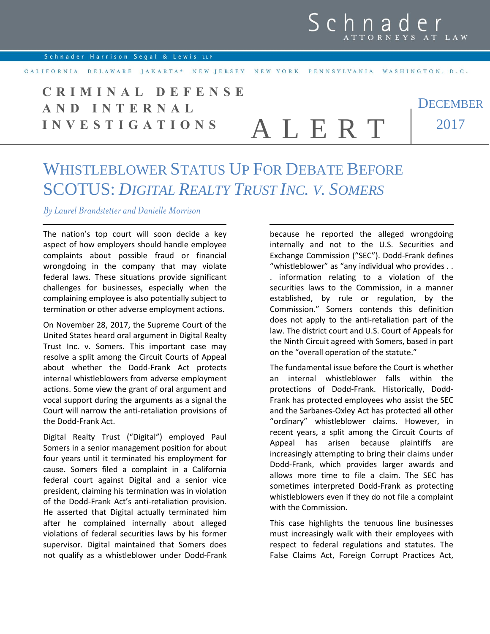Schnader Harrison Segal & Lewis LLP

CALIFORNIA DELAWARE JAKARTA\* NEW JERSEY NEW YORK PENNSYLVANIA WASHINGTON, D.C.

**DECEMBER** 2017 **C R I M I N A L D E F E N S E A N D I N T E R N A L I N V E S T I G A T I O N S** A L E R T

## WHISTLEBLOWER STATUS UP FOR DEBATE BEFORE SCOTUS: *DIGITAL REALTY TRUST INC. V. SOMERS*

*By Laurel Brandstetter and Danielle Morrison*

The nation's top court will soon decide a key aspect of how employers should handle employee complaints about possible fraud or financial wrongdoing in the company that may violate federal laws. These situations provide significant challenges for businesses, especially when the complaining employee is also potentially subject to termination or other adverse employment actions.

On November 28, 2017, the Supreme Court of the United States heard oral argument in Digital Realty Trust Inc. v. Somers. This important case may resolve a split among the Circuit Courts of Appeal about whether the Dodd-Frank Act protects internal whistleblowers from adverse employment actions. Some view the grant of oral argument and vocal support during the arguments as a signal the Court will narrow the anti-retaliation provisions of the Dodd-Frank Act.

Digital Realty Trust ("Digital") employed Paul Somers in a senior management position for about four years until it terminated his employment for cause. Somers filed a complaint in a California federal court against Digital and a senior vice president, claiming his termination was in violation of the Dodd-Frank Act's anti-retaliation provision. He asserted that Digital actually terminated him after he complained internally about alleged violations of federal securities laws by his former supervisor. Digital maintained that Somers does not qualify as a whistleblower under Dodd-Frank because he reported the alleged wrongdoing internally and not to the U.S. Securities and Exchange Commission ("SEC"). Dodd-Frank defines "whistleblower" as "any individual who provides . .

. information relating to a violation of the securities laws to the Commission, in a manner established, by rule or regulation, by the Commission." Somers contends this definition does not apply to the anti-retaliation part of the law. The district court and U.S. Court of Appeals for the Ninth Circuit agreed with Somers, based in part on the "overall operation of the statute."

The fundamental issue before the Court is whether an internal whistleblower falls within the protections of Dodd-Frank. Historically, Dodd-Frank has protected employees who assist the SEC and the Sarbanes-Oxley Act has protected all other "ordinary" whistleblower claims. However, in recent years, a split among the Circuit Courts of Appeal has arisen because plaintiffs are increasingly attempting to bring their claims under Dodd-Frank, which provides larger awards and allows more time to file a claim. The SEC has sometimes interpreted Dodd-Frank as protecting whistleblowers even if they do not file a complaint with the Commission.

This case highlights the tenuous line businesses must increasingly walk with their employees with respect to federal regulations and statutes. The False Claims Act, Foreign Corrupt Practices Act,